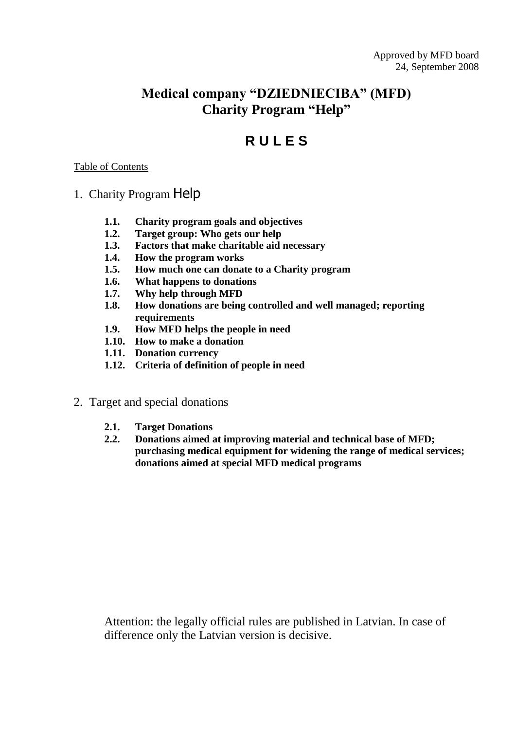## **Medical company "DZIEDNIECIBA" (MFD) Charity Program "Help"**

# **R U L E S**

#### Table of Contents

- 1. Charity Program Help
	- **1.1. Charity program goals and objectives**
	- **1.2. Target group: Who gets our help**
	- **1.3. Factors that make charitable aid necessary**
	- **1.4. How the program works**
	- **1.5. How much one can donate to a Charity program**
	- **1.6. What happens to donations**
	- **1.7. Why help through MFD**
	- **1.8. How donations are being controlled and well managed; reporting requirements**
	- **1.9. How MFD helps the people in need**
	- **1.10. How to make a donation**
	- **1.11. Donation currency**
	- **1.12. Criteria of definition of people in need**
- 2. Target and special donations
	- **2.1. Target Donations**
	- **2.2. Donations aimed at improving material and technical base of MFD; purchasing medical equipment for widening the range of medical services; donations aimed at special MFD medical programs**

Attention: the legally official rules are published in Latvian. In case of difference only the Latvian version is decisive.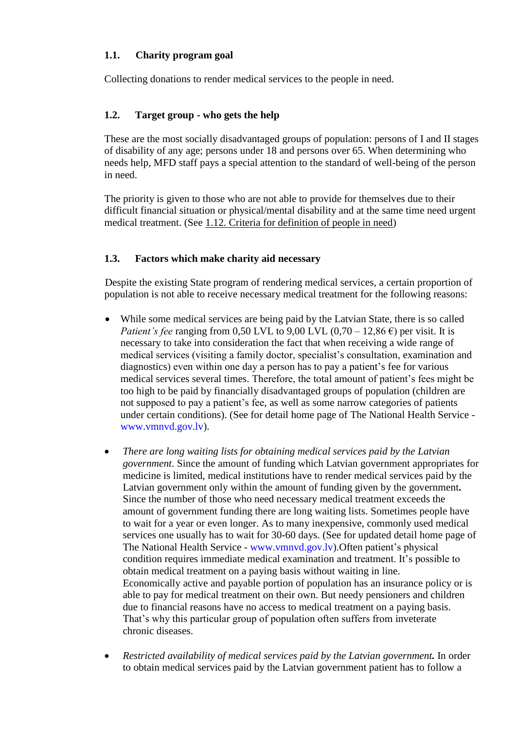#### **1.1. Charity program goal**

Collecting donations to render medical services to the people in need.

## **1.2. Target group - who gets the help**

These are the most socially [disadvantaged](http://www.multitran.ru/c/m.exe?t=4113874_1_2) groups of population: persons of I and II stages of disability of any age; persons under 18 and persons over 65. When determining who needs help, MFD staff pays a special attention to the standard of well-being of the person in need.

The priority is given to those who are not able to provide for themselves due to their difficult financial situation or physical/mental disability and at the same time need urgent medical treatment. (See 1.12. Criteria for definition of people in need)

#### **1.3. Factors which make charity aid necessary**

Despite the existing State program of rendering medical services, a certain proportion of population is not able to receive necessary medical treatment for the following reasons:

- While some medical services are being paid by the Latvian State, there is so called *Patient's fee* ranging from 0,50 LVL to 9,00 LVL  $(0.70 - 12.86 \text{ } \epsilon)$  per visit. It is necessary to take into consideration the fact that when receiving a wide range of medical services (visiting a family doctor, specialist's consultation, examination and diagnostics) even within one day a person has to pay a patient's fee for various medical services several times. Therefore, the total amount of patient's fees might be too high to be paid by financially [disadvantaged](http://www.multitran.ru/c/m.exe?t=4113874_1_2) groups of population (children are not supposed to pay a patient's fee, as well as some narrow categories of patients under certain conditions). (See for detail home page of The National Health Service www.vmnvd.gov.lv).
- *There are long waiting lists for obtaining medical services paid by the Latvian government.* Since the amount of funding which Latvian government appropriates for medicine is limited, medical institutions have to render medical services paid by the Latvian government only within the amount of funding given by the government**.**  Since the number of those who need necessary medical treatment exceeds the amount of government funding there are long waiting lists. Sometimes people have to wait for a year or even longer. As to many inexpensive, commonly used medical services one usually has to wait for 30-60 days. (See for updated detail home page of The National Health Service - www.vmnvd.gov.lv).Often patient's physical condition requires immediate medical examination and treatment. It's possible to obtain medical treatment on a paying basis without waiting in line. [Economically](http://www.multitran.ru/c/m.exe?t=608269_1_2) active and payable portion of population has an [insurance](http://www.multitran.ru/c/m.exe?t=88108_1_2) policy or is able to pay for medical treatment on their own. But needy pensioners and children due to financial reasons have no access to medical treatment on a paying basis. That's why this particular group of population often suffers from [inveterate](http://www.multitran.ru/c/m.exe?t=341388_1_2) chronic [diseases](http://www.multitran.ru/c/m.exe?t=2909825_1_2).
- *Restricted [availability](http://www.multitran.ru/c/m.exe?t=2675557_1_2) of medical services paid by the Latvian government.* In order to obtain medical services paid by the Latvian government patient has to follow a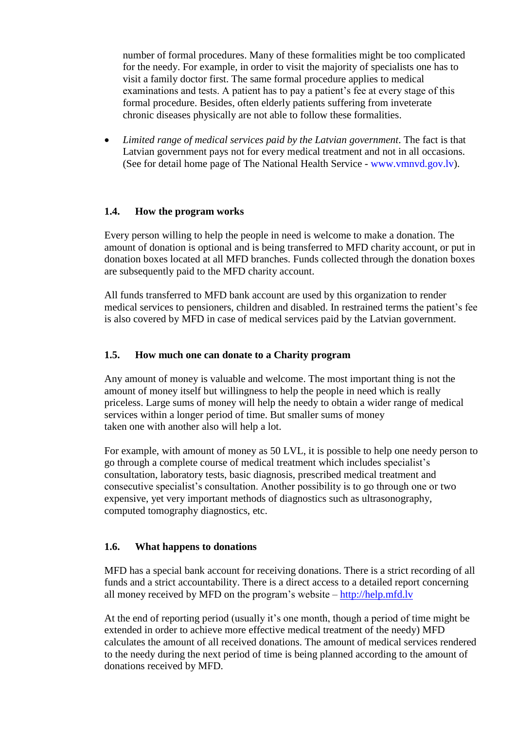number of formal procedures. Many of these formalities might be too complicated for the needy. For example, in order to visit the majority of specialists one has to visit a family doctor first. The same formal procedure applies to medical examinations and tests. A patient has to pay a patient's fee at every stage of this formal procedure. Besides, often elderly patients suffering from [inveterate](http://www.multitran.ru/c/m.exe?t=341388_1_2) chronic [diseases](http://www.multitran.ru/c/m.exe?t=2909825_1_2) physically are not able to follow these formalities.

 *Limited range of medical services paid by the Latvian government*. The fact is that Latvian government pays not for every medical treatment and not in all [occasions.](http://www.multitran.ru/c/m.exe?t=3313602_1_2) (See for detail home page of The National Health Service - www.vmnvd.gov.lv).

#### **1.4. How the program works**

Every person willing to help the people in need is welcome to make a donation. The amount of donation is optional and is being transferred to MFD charity account, or put in donation boxes located at all MFD branches. Funds collected through the donation boxes are subsequently paid to the MFD charity account.

All funds transferred to MFD bank account are used by this organization to render medical services to pensioners, children and disabled. In [restrained](http://www.multitran.ru/c/m.exe?t=3027062_1_2) terms the patient's fee is also covered by MFD in case of medical services paid by the Latvian government.

#### **1.5. How much one can donate to a Charity program**

Any amount of money is valuable and welcome. The most important thing is not the amount of money itself but willingness to help the people in need which is really priceless. Large sums of money will help the needy to obtain a wider range of medical services within a longer period of time. But smaller sums of money taken one with [another](http://www.multitran.ru/c/m.exe?t=45926_1_2) also will help a lot.

For example, with amount of money as 50 LVL, it is possible to help one needy person to go through a complete course [of medical treatment](http://www.multitran.ru/c/m.exe?t=3747517_1_2) which includes specialist's consultation, [laboratory](http://www.multitran.ru/c/m.exe?t=1857065_1_2) tests, basic diagnosis, prescribed medical treatment and consecutive specialist's consultation. Another possibility is to go through one or two expensive, yet very important methods of diagnostics such as [ultrasonography](http://www.multitran.ru/c/m.exe?t=2611215_1_2), computed [tomography](http://www.multitran.ru/c/m.exe?t=2581018_1_2) diagnostics, etc.

#### **1.6. What happens to donations**

MFD has a special bank account for receiving donations. There is a strict recording of all funds and a strict [accountability.](http://www.multitran.ru/c/m.exe?t=3763474_1_2) There is a direct access to a detailed report concerning all money received by MFD on the program's website – [http://help.mfd.lv](http://help.mfd.lv/)

At the end of [reporting](http://www.multitran.ru/c/m.exe?t=1023320_1_2) period (usually it's one month, though a period of time might be extended in order to achieve more effective medical treatment of the needy) MFD calculates the amount of all received donations. The amount of medical services rendered to the needy during the next period of time is being planned according to the amount of donations received by MFD.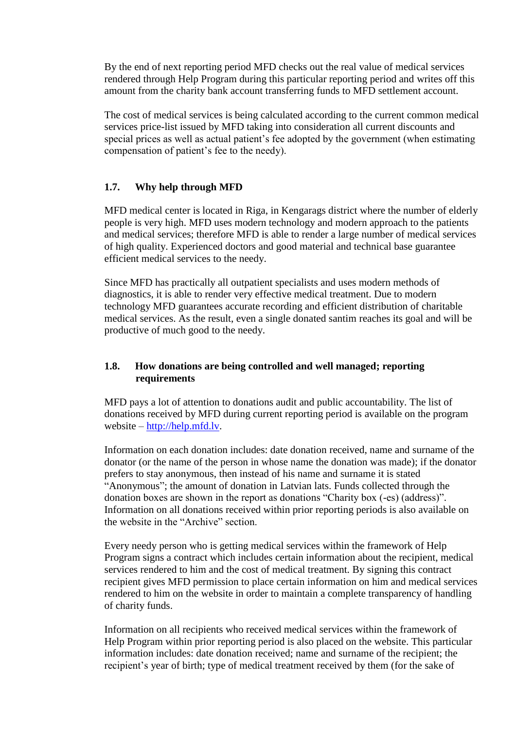By the end of next reporting period MFD checks out the real value of medical services rendered through Help Program during this particular reporting period and writes off this amount from the charity bank account transferring funds to MFD [settlement](http://www.multitran.ru/c/m.exe?t=1026422_1_2) account.

The cost of medical services is being calculated according to the current common medical services price-list issued by MFD taking into consideration all current discounts and special prices as well as actual patient's fee adopted by the government (when estimating compensation of patient's fee to the needy).

#### **1.7. Why help through MFD**

MFD medical center is located in Riga, in Kengarags district where the number of elderly people is very high. MFD uses modern technology and modern approach to the patients and medical services; therefore MFD is able to render a large number of medical services of high quality. Experienced doctors and good material and [technical](http://www.multitran.ru/c/m.exe?t=2549615_1_2) base guarantee efficient medical services to the needy.

Since MFD has practically all outpatient specialists and uses modern methods of diagnostics, it is able to render very effective medical treatment. Due to modern technology MFD guarantees accurate recording and efficient distribution of charitable medical services. As the result, even a single donated santim reaches its goal and will be productive of much good to the needy.

#### **1.8. How donations are being controlled and well managed; reporting requirements**

MFD pays a lot of attention to donations audit and public accountability. The list of donations received by MFD during current reporting period is available on the program website – [http://help.mfd.lv.](http://help.mfd.lv/)

Information on each donation includes: date donation received, name and surname of the donator (or the name of the person in whose name the donation was made); if the donator prefers to stay [anonymous,](http://www.multitran.ru/c/m.exe?t=30713_1_2) then instead of his name and surname it is stated ["Anonymous"](http://www.multitran.ru/c/m.exe?t=30713_1_2); the amount of donation in Latvian lats. Funds collected through the donation boxes are shown in the report as donations "Charity box (-es) (address)". Information on all donations received within prior reporting periods is also available on the website in the "Archive" section.

Every needy person who is getting medical services within the [framework](http://www.multitran.ru/c/m.exe?t=2092467_1_2) of Help Program signs a contract which includes certain information about the recipient, medical services rendered to him and the cost of medical treatment. By signing this contract recipient gives MFD permission to place certain information on him and medical services rendered to him on the website in order to maintain a complete transparency of handling of charity funds.

Information on all recipients who received medical services within the [framework](http://www.multitran.ru/c/m.exe?t=2092467_1_2) of Help Program within prior reporting period is also placed on the website. This particular information includes: date donation received; name and surname of the recipient; the recipient's year of birth; type of medical treatment received by them (for the sake of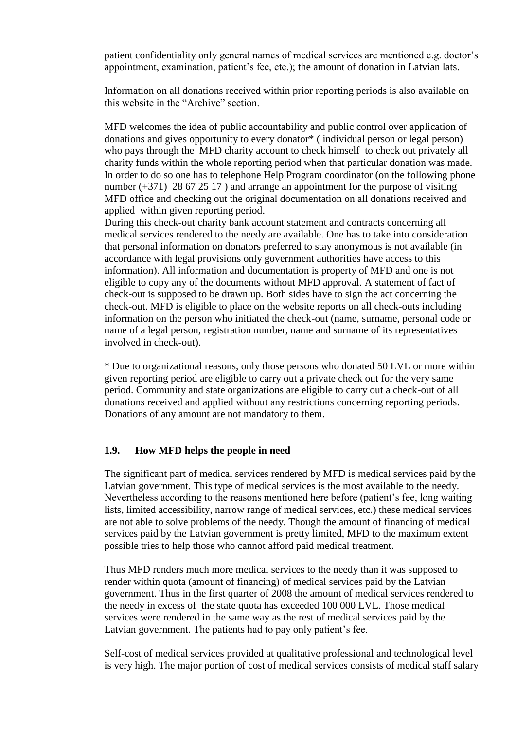patient [confidentiality](http://www.multitran.ru/c/m.exe?t=4016030_1_2) only general names of medical services are mentioned e.g. doctor's appointment, examination, patient's fee, etc.); the amount of donation in Latvian lats.

Information on all donations received within prior reporting periods is also available on this website in the "Archive" section.

MFD welcomes the idea of public accountability and public control over application of donations and gives opportunity to every donator\* ( [individual](http://www.multitran.ru/c/m.exe?t=885018_1_2) person or legal person) who pays through the MFD charity account to check himself to check out privately all charity funds within the whole reporting period when that particular donation was made. In order to do so one has to telephone Help Program coordinator (on the following phone number  $(+371)$  28 67 25 17) and arrange an appointment for the purpose of visiting MFD office and checking out the original documentation on all donations received and applied within given reporting period.

During this check-out charity bank account [statement](http://www.multitran.ru/c/m.exe?t=4244670_1_2) and contracts concerning all medical services rendered to the needy are available. One has to take into consideration that personal information on donators preferred to stay [anonymous](http://www.multitran.ru/c/m.exe?t=30713_1_2) is not available (in accordance with legal provisions only government authorities have access to this information). All information and documentation is property of MFD and one is not eligible to copy any of the documents without MFD approval. A [statement](http://www.multitran.ru/c/m.exe?t=3617274_1_2) of fact of check-out is supposed to be drawn up. Both sides have to sign the act concerning the check-out. MFD is eligible to place on the website reports on all check-outs including information on the person who initiated the check-out (name, surname, personal code or name of a legal person, registration number, name and surname of its representatives involved in check-out).

\* Due to organizational reasons, only those persons who donated 50 LVL or more within given reporting period are eligible to carry out a private check out for the very same period. Community and state organizations are eligible to carry out a check-out of all donations received and applied without any restrictions concerning reporting periods. Donations of any amount are not mandatory to them.

#### **1.9. How MFD helps the people in need**

The significant part of medical services rendered by MFD is medical services paid by the Latvian government. This type of medical services is the most available to the needy. Nevertheless according to the reasons mentioned here before (patient's fee, long waiting lists, limited accessibility, narrow range of medical services, etc.) these medical services are not able to solve problems of the needy. Though the amount of [financing](http://www.multitran.ru/c/m.exe?t=2654611_1_2) of medical services paid by the Latvian government is pretty limited, MFD to the [maximum](http://www.multitran.ru/c/m.exe?t=3707864_1_2) extent possible tries to help those who cannot afford paid medical treatment.

Thus MFD renders much more medical services to the needy than it was supposed to render within quota (amount of [financing\)](http://www.multitran.ru/c/m.exe?t=2654611_1_2) [of](http://www.multitran.ru/c/m.exe?t=2092467_1_2) medical services paid by the Latvian government. Thus in the first quarter of 2008 the amount [of](http://www.multitran.ru/c/m.exe?t=2092467_1_2) medical services rendered to the needy in [excess](http://www.multitran.ru/c/m.exe?t=3304189_1_2) of the state quota has exceeded 100 000 LVL. Those medical services were rendered in the same way as the rest of medical services paid by the Latvian government. The patients had to pay only patient's fee.

Self-cost of medical services provided at [qualitative](http://www.multitran.ru/c/m.exe?t=7182_1_2) professional and technological level is very high. The major portion of cost of medical services consists of medical staff salary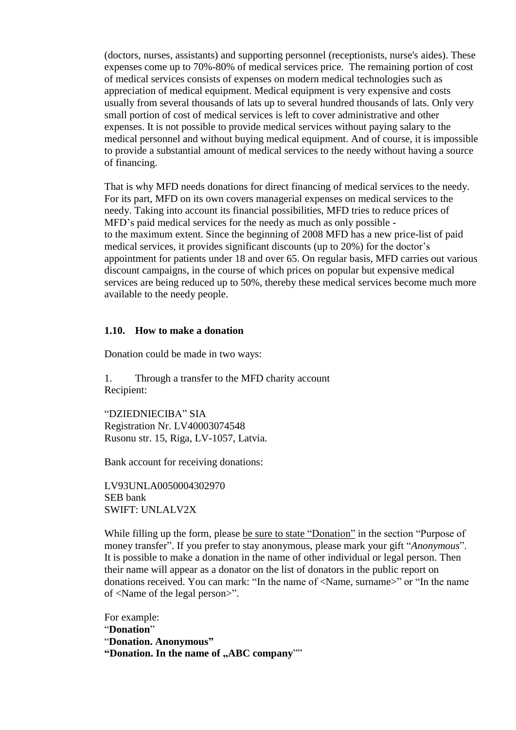(doctors, nurses, assistants) and [supporting](http://www.multitran.ru/c/m.exe?t=1930665_1_2) personnel (receptionists, [nurse's](http://www.multitran.ru/c/m.exe?t=1103550_1_2) aides). These expenses come up to 70%-80% of medical services price. The [remaining](http://www.multitran.ru/c/m.exe?t=4168455_1_2) portion of cost of medical services consists of expenses on modern medical technologies such as appreciation of [medical equipment.](http://www.multitran.ru/c/m.exe?t=2545743_1_2) Medical equipment is very expensive and costs usually from several thousands of lats up to several hundred thousands of lats. Only very small portion of cost of medical services is left to cover [administrative](http://www.multitran.ru/c/m.exe?t=90051_1_2) and other expenses. It is not possible to provide medical services without paying salary to the medical [personnel](http://www.multitran.ru/c/m.exe?t=1930665_1_2) and without buying medical equipment. And of course, it is impossible to provide a substantial amount of medical services to the needy without having a source of financing.

That is why MFD needs donations for direct financing of medical services to the needy. For its part, MFD on its own covers [managerial](http://www.multitran.ru/c/m.exe?t=90051_1_2) expenses on medical services to the needy. Taking into account its financial possibilities, MFD tries to reduce prices of MFD's paid medical services for the needy as much as only possible to the [maximum](http://www.multitran.ru/c/m.exe?t=3707864_1_2) extent. Since the beginning of 2008 MFD has a new price-list of paid medical services, it provides significant discounts (up to 20%) for the doctor's appointment for patients under 18 and over 65. On regular basis, MFD carries out various discount campaigns, in the course of which prices on popular but expensive medical services are being reduced up to 50%, thereby these medical services become much more available to the needy people.

#### **1.10. How to make a donation**

Donation could be made in two ways:

1. Through a transfer to the MFD charity account Recipient:

"DZIEDNIECIBA" SIA Registration Nr. LV40003074548 Rusonu str. 15, Riga, LV-1057, Latvia.

Bank account for receiving donations:

LV93UNLA0050004302970 SEB bank SWIFT: UNLALV2X

While filling up the form, please be sure to state "Donation" in the section "Purpose of money transfer". If you prefer to stay [anonymous,](http://www.multitran.ru/c/m.exe?t=30713_1_2) please mark your gift "*[Anonymous](http://www.multitran.ru/c/m.exe?t=30713_1_2)*". It is possible to make a donation in the name of other individual or legal person. Then their name will appear as a donator on the list of donators in the public report on donations received. You can mark: "In the name of <Name, surname>" or "In the name of <Name of the legal person>".

For example: "**Donation**" "**Donation. Anonymous"** "Donation. In the name of "ABC company""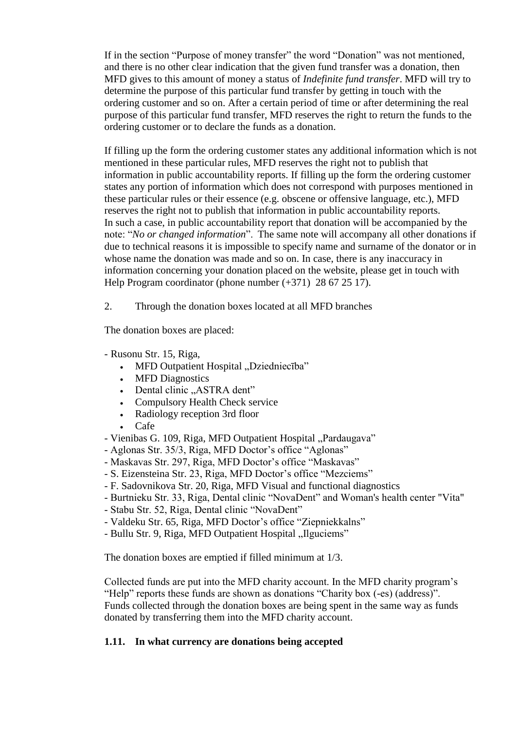If in the section "Purpose of money transfer" the word "Donation" was not mentioned, and there is no other clear indication that the given fund transfer was a donation, then MFD gives to this amount of money a status of *Indefinite fund transfer*. MFD will try to determine the purpose of this particular fund transfer by getting in touch with the ordering customer and so on. After a certain period of time or after determining the real purpose of this particular fund transfer, MFD reserves the right to return the funds to the ordering customer or to declare the funds as a donation.

If filling up the form the ordering customer states any additional information which is not mentioned in these particular rules, MFD reserves the right not to publish that information in public accountability reports. If filling up the form the ordering customer states any portion of information which does not correspond with purposes mentioned in these particular rules or their essence (e.g. obscene or offensive language, etc.), MFD reserves the right not to publish that information in public accountability reports. In such a case, in public accountability report that donation will be accompanied by the note: "*No or changed information*". The same note will accompany all other donations if due to technical reasons it is impossible to specify name and surname of the donator or in whose name the donation was made and so on. In case, there is any inaccuracy in information concerning your donation placed on the website, please get in touch with Help Program coordinator (phone number (+371) 28 67 25 17).

2. Through the donation boxes located at all MFD branches

The donation boxes are placed:

- Rusonu Str. 15, Riga,
	- MFD Outpatient Hospital "Dziedniecība"
	- MFD Diagnostics
	- Dental clinic "ASTRA dent"
	- Compulsory Health Check service
	- Radiology reception 3rd floor
	- Cafe
- Vienibas G. 109, Riga, MFD Outpatient Hospital "Pardaugava"
- Aglonas Str. 35/3, Riga, MFD Doctor's office "Aglonas"
- Maskavas Str. 297, Riga, MFD Doctor's office "Maskavas"
- S. Eizensteina Str. 23, Riga, MFD Doctor's office "Mezciems"
- F. Sadovnikova Str. 20, Riga, MFD Visual and functional diagnostics
- Burtnieku Str. 33, Riga, Dental clinic "NovaDent" and Woman's health center "Vita"
- Stabu Str. 52, Riga, Dental clinic "NovaDent"
- Valdeku Str. 65, Riga, MFD Doctor's office "Ziepniekkalns"
- Bullu Str. 9, Riga, MFD Outpatient Hospital "Ilguciems"

The donation boxes are emptied if filled minimum at 1/3.

Collected funds are put into the MFD charity account. In the MFD charity program's "Help" reports these funds are shown as donations "Charity box (-es) (address)". Funds collected through the donation boxes are being spent in the same way as funds donated by transferring them into the MFD charity account.

#### **1.11. In what currency are donations being accepted**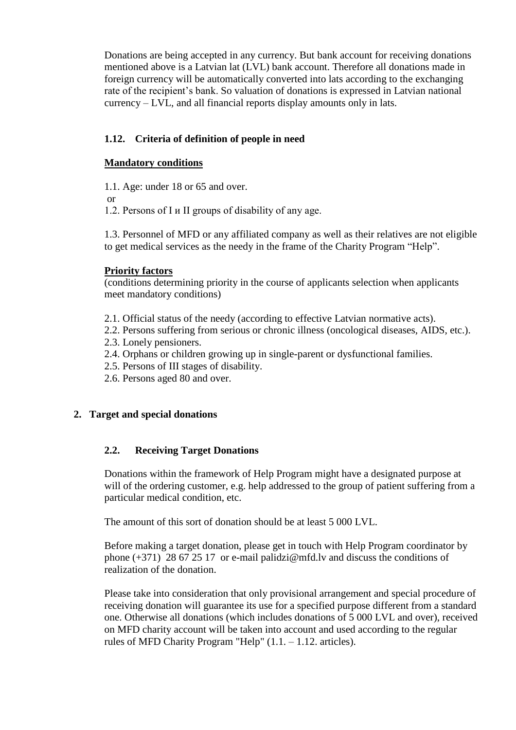Donations are being accepted in any currency. But bank account for receiving donations mentioned above is a Latvian lat (LVL) bank account. Therefore all donations made in foreign currency will be automatically converted into lats according to the exchanging rate of the recipient's bank. So valuation of donations is expressed in Latvian national currency – LVL, and all financial reports display amounts only in lats.

## **1.12. Criteria of definition of people in need**

#### **Mandatory conditions**

1.1. Age: under 18 or 65 and over.

or

1.2. Persons of I и II groups of disability of any age.

1.3. Personnel of MFD or any affiliated company as well as their relatives are not eligible to get medical services as the needy in the frame of the Charity Program "Help".

#### **Priority factors**

(conditions determining priority in the course of applicants selection when applicants meet mandatory conditions)

- 2.1. Official status of the needy (according to effective Latvian normative acts).
- 2.2. Persons suffering from serious or chronic illness (oncological diseases, AIDS, etc.).
- 2.3. Lonely pensioners.
- 2.4. Orphans or children growing up in single-parent or dysfunctional families.
- 2.5. Persons of III stages of disability.
- 2.6. Persons aged 80 and over.

#### **2. Target and special donations**

#### **2.2. Receiving Target Donations**

Donations within the framework of Help Program might have a designated purpose at will of the ordering customer, e.g. help addressed to the group of patient suffering from a particular medical condition, etc.

The amount of this sort of donation should be at least 5 000 LVL.

Before making a target donation, please get in touch with Help Program coordinator by phone  $(+371)$  28 67 25 17 or e-mail palidzi@mfd.lv and discuss the conditions of realization of the donation.

Please take into consideration that only provisional arrangement and special procedure of receiving donation will guarantee its use for a specified purpose different from a standard one. Otherwise all donations (which includes donations of 5 000 LVL and over), received on MFD charity account will be taken into account and used according to the regular rules of MFD Charity Program "Help" (1.1. – 1.12. articles).